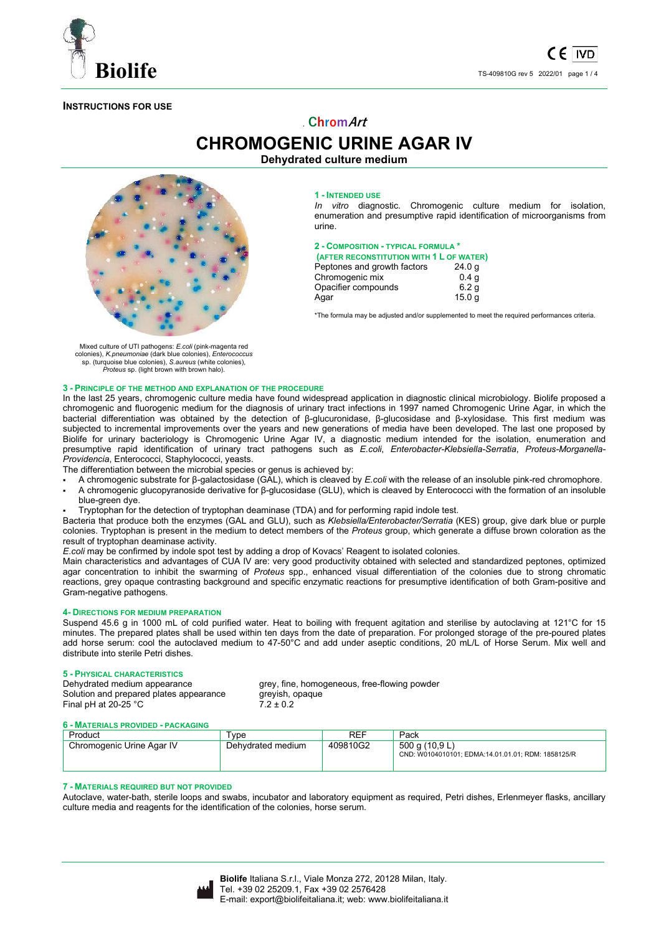

## **INSTRUCTIONS FOR USE**

# . **ChromArt CHROMOGENIC URINE AGAR IV**

## **Dehydrated culture medium**



#### **1 - INTENDED USE**

*In vitro* diagnostic. Chromogenic culture medium for isolation, enumeration and presumptive rapid identification of microorganisms from urine.

**2 - COMPOSITION - TYPICAL FORMULA \*** 

| (AFTER RECONSTITUTION WITH 1 L OF WATER) |                   |
|------------------------------------------|-------------------|
| Peptones and growth factors              | 24.0 <sub>q</sub> |
| Chromogenic mix                          | 0.4 <sub>q</sub>  |
| Opacifier compounds                      | 6.2 <sub>q</sub>  |
| Agar                                     | 15.0 <sub>q</sub> |

\*The formula may be adjusted and/or supplemented to meet the required performances criteria.

Mixed culture of UTI pathogens: *E.coli* (pink-magenta red colonies), *K.pneumoniae* (dark blue colonies), *Enterococcus* sp. (turquoise blue colonies), *S.aureus* (white colonies), *Proteus* sp. (light brown with brown halo).

### **3 - PRINCIPLE OF THE METHOD AND EXPLANATION OF THE PROCEDURE**

In the last 25 years, chromogenic culture media have found widespread application in diagnostic clinical microbiology. Biolife proposed a chromogenic and fluorogenic medium for the diagnosis of urinary tract infections in 1997 named Chromogenic Urine Agar, in which the bacterial differentiation was obtained by the detection of β-glucuronidase, β-glucosidase and β-xylosidase. This first medium was subjected to incremental improvements over the years and new generations of media have been developed. The last one proposed by Biolife for urinary bacteriology is Chromogenic Urine Agar IV, a diagnostic medium intended for the isolation, enumeration and presumptive rapid identification of urinary tract pathogens such as *E.coli*, *Enterobacter-Klebsiella-Serratia*, *Proteus-Morganella-Providencia*, Enterococci, Staphylococci, yeasts.

The differentiation between the microbial species or genus is achieved by:

- A chromogenic substrate for β-galactosidase (GAL), which is cleaved by *E.coli* with the release of an insoluble pink-red chromophore.
- A chromogenic glucopyranoside derivative for β-glucosidase (GLU), which is cleaved by Enterococci with the formation of an insoluble blue-green dye.

Tryptophan for the detection of tryptophan deaminase (TDA) and for performing rapid indole test.

Bacteria that produce both the enzymes (GAL and GLU), such as *Klebsiella/Enterobacter/Serratia* (KES) group, give dark blue or purple colonies. Tryptophan is present in the medium to detect members of the *Proteus* group, which generate a diffuse brown coloration as the result of tryptophan deaminase activity.

*E.coli* may be confirmed by indole spot test by adding a drop of Kovacs' Reagent to isolated colonies.

Main characteristics and advantages of CUA IV are: very good productivity obtained with selected and standardized peptones, optimized agar concentration to inhibit the swarming of *Proteus* spp., enhanced visual differentiation of the colonies due to strong chromatic reactions, grey opaque contrasting background and specific enzymatic reactions for presumptive identification of both Gram-positive and Gram-negative pathogens.

#### **4- DIRECTIONS FOR MEDIUM PREPARATION**

Suspend 45.6 g in 1000 mL of cold purified water. Heat to boiling with frequent agitation and sterilise by autoclaving at 121°C for 15 minutes. The prepared plates shall be used within ten days from the date of preparation. For prolonged storage of the pre-poured plates add horse serum: cool the autoclaved medium to 47-50°C and add under aseptic conditions, 20 mL/L of Horse Serum. Mix well and distribute into sterile Petri dishes.

# **5 - PHYSICAL CHARACTERISTICS**

Solution and prepared plates appearance greyish, opaque<br>Final pH at 20-25 °C  $7.2 \pm 0.2$ Final pH at 20-25 $\degree$ C

grey, fine, homogeneous, free-flowing powder

#### **6 - MATERIALS PROVIDED - PACKAGING**

| Product                   | vpe               | REF      | Pack                                                                 |
|---------------------------|-------------------|----------|----------------------------------------------------------------------|
| Chromogenic Urine Agar IV | Dehvdrated medium | 409810G2 | 500 g (10,9 L)<br>CND: W0104010101; EDMA:14.01.01.01; RDM: 1858125/R |

#### **7 - MATERIALS REQUIRED BUT NOT PROVIDED**

Autoclave, water-bath, sterile loops and swabs, incubator and laboratory equipment as required, Petri dishes, Erlenmeyer flasks, ancillary culture media and reagents for the identification of the colonies, horse serum.

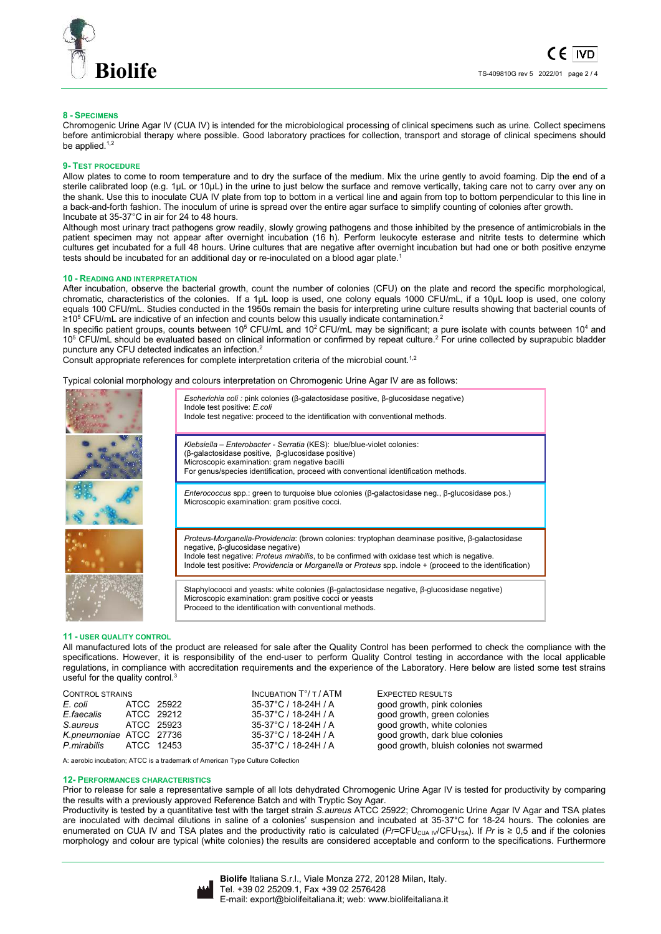

## **8 - SPECIMENS**

Chromogenic Urine Agar IV (CUA IV) is intended for the microbiological processing of clinical specimens such as urine. Collect specimens before antimicrobial therapy where possible. Good laboratory practices for collection, transport and storage of clinical specimens should be applied. $1$ ,

#### **9- TEST PROCEDURE**

Allow plates to come to room temperature and to dry the surface of the medium. Mix the urine gently to avoid foaming. Dip the end of a sterile calibrated loop (e.g. 1μL or 10μL) in the urine to just below the surface and remove vertically, taking care not to carry over any on the shank. Use this to inoculate CUA IV plate from top to bottom in a vertical line and again from top to bottom perpendicular to this line in a back-and-forth fashion. The inoculum of urine is spread over the entire agar surface to simplify counting of colonies after growth. Incubate at 35-37°C in air for 24 to 48 hours.

Although most urinary tract pathogens grow readily, slowly growing pathogens and those inhibited by the presence of antimicrobials in the patient specimen may not appear after overnight incubation (16 h). Perform leukocyte esterase and nitrite tests to determine which cultures get incubated for a full 48 hours. Urine cultures that are negative after overnight incubation but had one or both positive enzyme tests should be incubated for an additional day or re-inoculated on a blood agar plate.<sup>1</sup>

#### **10 - READING AND INTERPRETATION**

After incubation, observe the bacterial growth, count the number of colonies (CFU) on the plate and record the specific morphological, chromatic, characteristics of the colonies. If a 1μL loop is used, one colony equals 1000 CFU/mL, if a 10μL loop is used, one colony equals 100 CFU/mL. Studies conducted in the 1950s remain the basis for interpreting urine culture results showing that bacterial counts of ≥10<sup>5</sup> CFU/mL are indicative of an infection and counts below this usually indicate contamination.<sup>2</sup>

In specific patient groups, counts between 10<sup>5</sup> CFU/mL and 10<sup>2</sup> CFU/mL may be significant; a pure isolate with counts between 10<sup>4</sup> and 10<sup>5</sup> CFU/mL should be evaluated based on clinical information or confirmed by repeat culture.<sup>2</sup> For urine collected by suprapubic bladder puncture any CFU detected indicates an infection.<sup>2</sup>

Consult appropriate references for complete interpretation criteria of the microbial count.<sup>1,2</sup>

Typical colonial morphology and colours interpretation on Chromogenic Urine Agar IV are as follows:

| Escherichia coli : pink colonies ( $\beta$ -galactosidase positive, $\beta$ -glucosidase negative)<br>Indole test positive: E.coli<br>Indole test negative: proceed to the identification with conventional methods.                                                                                                                              |
|---------------------------------------------------------------------------------------------------------------------------------------------------------------------------------------------------------------------------------------------------------------------------------------------------------------------------------------------------|
| Klebsiella - Enterobacter - Serratia (KES): blue/blue-violet colonies:<br>(β-galactosidase positive, β-glucosidase positive)<br>Microscopic examination: gram negative bacilli<br>For genus/species identification, proceed with conventional identification methods.                                                                             |
| <i>Enterococcus</i> spp.: green to turquoise blue colonies ( $\beta$ -galactosidase neg., $\beta$ -glucosidase pos.)<br>Microscopic examination: gram positive cocci.                                                                                                                                                                             |
| Proteus-Morganella-Providencia: (brown colonies: tryptophan deaminase positive, β-galactosidase<br>negative, β-glucosidase negative)<br>Indole test negative: Proteus mirabilis, to be confirmed with oxidase test which is negative.<br>Indole test positive: Providencia or Morganella or Proteus spp. indole + (proceed to the identification) |
| Staphylococci and yeasts: white colonies ( $\beta$ -galactosidase negative, $\beta$ -glucosidase negative)<br>Microscopic examination: gram positive cocci or yeasts<br>Proceed to the identification with conventional methods.                                                                                                                  |

### **11 - USER QUALITY CONTROL**

All manufactured lots of the product are released for sale after the Quality Control has been performed to check the compliance with the specifications. However, it is responsibility of the end-user to perform Quality Control testing in accordance with the local applicable regulations, in compliance with accreditation requirements and the experience of the Laboratory. Here below are listed some test strains useful for the quality control.<sup>3</sup>

| <b>CONTROL STRAINS</b>  |            |            | INCUBATION $T^{\circ}/T$ / ATM | EXPECTED RESULTS                         |
|-------------------------|------------|------------|--------------------------------|------------------------------------------|
| E. coli                 |            | ATCC 25922 | 35-37°C / 18-24H / A           | good growth, pink colonies               |
| E.faecalis              |            | ATCC 29212 | 35-37°C / 18-24H / A           | good growth, green colonies              |
| S.aureus                | ATCC 25923 |            | 35-37°C / 18-24H / A           | good growth, white colonies              |
| K.pneumoniae ATCC 27736 |            |            | 35-37°C / 18-24H / A           | good growth, dark blue colonies          |
| P.mirabilis ATCC 12453  |            |            | 35-37°C / 18-24H / A           | good growth, bluish colonies not swarmed |

A: aerobic incubation; ATCC is a trademark of American Type Culture Collection

#### **12- PERFORMANCES CHARACTERISTICS**

Prior to release for sale a representative sample of all lots dehydrated Chromogenic Urine Agar IV is tested for productivity by comparing the results with a previously approved Reference Batch and with Tryptic Soy Agar.

Productivity is tested by a quantitative test with the target strain *S.aureus* ATCC 25922; Chromogenic Urine Agar IV Agar and TSA plates are inoculated with decimal dilutions in saline of a colonies' suspension and incubated at 35-37°C for 18-24 hours. The colonies are enumerated on CUA IV and TSA plates and the productivity ratio is calculated (*Pr*=CFU<sub>CUA IV</sub>/CFU<sub>TSA</sub>). If *Pr* is ≥ 0,5 and if the colonies morphology and colour are typical (white colonies) the results are considered acceptable and conform to the specifications. Furthermore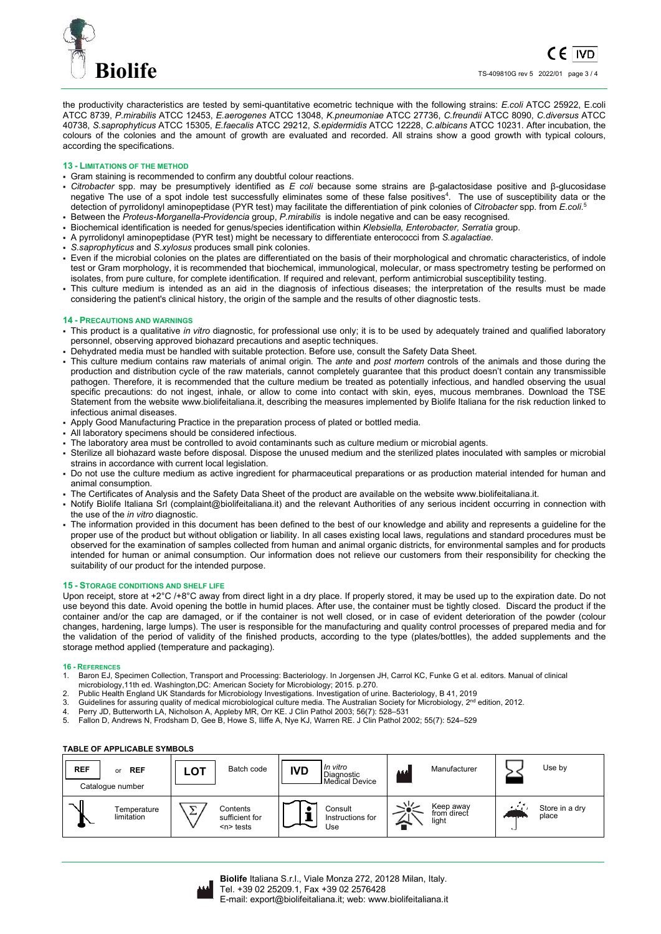

the productivity characteristics are tested by semi-quantitative ecometric technique with the following strains: *E.coli* ATCC 25922, E.coli ATCC 8739, *P.mirabilis* ATCC 12453, *E.aerogenes* ATCC 13048, *K.pneumoniae* ATCC 27736, *C.freundii* ATCC 8090, *C.diversus* ATCC 40738, *S.saprophyticus* ATCC 15305, *E.faecalis* ATCC 29212, *S.epidermidis* ATCC 12228, *C.albicans* ATCC 10231. After incubation, the colours of the colonies and the amount of growth are evaluated and recorded. All strains show a good growth with typical colours, according the specifications.

## **13 - LIMITATIONS OF THE METHOD**

- Gram staining is recommended to confirm any doubtful colour reactions.
- *Citrobacter* spp. may be presumptively identified as *E coli* because some strains are β-galactosidase positive and β-glucosidase negative The use of a spot indole test successfully eliminates some of these false positives<sup>4</sup>. The use of susceptibility data or the detection of pyrrolidonyl aminopeptidase (PYR test) may facilitate the differentiation of pink colonies of *Citrobacter* spp. from *E.coli*. 5
- Between the *Proteus-Morganella-Providencia* group, *P.mirabilis* is indole negative and can be easy recognised. Biochemical identification is needed for genus/species identification within *Klebsiella, Enterobacter, Serratia* group.
- A pyrrolidonyl aminopeptidase (PYR test) might be necessary to differentiate enterococci from *S.agalactiae*.
- *S.saprophyticus* and *S.xylosus* produces small pink colonies.
- Even if the microbial colonies on the plates are differentiated on the basis of their morphological and chromatic characteristics, of indole test or Gram morphology, it is recommended that biochemical, immunological, molecular, or mass spectrometry testing be performed on isolates, from pure culture, for complete identification. If required and relevant, perform antimicrobial susceptibility testing.
- This culture medium is intended as an aid in the diagnosis of infectious diseases; the interpretation of the results must be made considering the patient's clinical history, the origin of the sample and the results of other diagnostic tests.

## **14 - PRECAUTIONS AND WARNINGS**

- This product is a qualitative *in vitro* diagnostic, for professional use only; it is to be used by adequately trained and qualified laboratory personnel, observing approved biohazard precautions and aseptic techniques.
- Dehydrated media must be handled with suitable protection. Before use, consult the Safety Data Sheet.
- This culture medium contains raw materials of animal origin. The *ante* and *post mortem* controls of the animals and those during the production and distribution cycle of the raw materials, cannot completely guarantee that this product doesn't contain any transmissible pathogen. Therefore, it is recommended that the culture medium be treated as potentially infectious, and handled observing the usual specific precautions: do not ingest, inhale, or allow to come into contact with skin, eyes, mucous membranes. Download the TSE Statement from the website www.biolifeitaliana.it, describing the measures implemented by Biolife Italiana for the risk reduction linked to infectious animal diseases.
- Apply Good Manufacturing Practice in the preparation process of plated or bottled media.
- All laboratory specimens should be considered infectious.
- The laboratory area must be controlled to avoid contaminants such as culture medium or microbial agents.
- Sterilize all biohazard waste before disposal. Dispose the unused medium and the sterilized plates inoculated with samples or microbial strains in accordance with current local legislation.
- Do not use the culture medium as active ingredient for pharmaceutical preparations or as production material intended for human and animal consumption.
- The Certificates of Analysis and the Safety Data Sheet of the product are available on the website www.biolifeitaliana.it.
- Notify Biolife Italiana Srl (complaint@biolifeitaliana.it) and the relevant Authorities of any serious incident occurring in connection with the use of the *in vitro* diagnostic.
- The information provided in this document has been defined to the best of our knowledge and ability and represents a guideline for the proper use of the product but without obligation or liability. In all cases existing local laws, regulations and standard procedures must be observed for the examination of samples collected from human and animal organic districts, for environmental samples and for products intended for human or animal consumption. Our information does not relieve our customers from their responsibility for checking the suitability of our product for the intended purpose.

## **15 - STORAGE CONDITIONS AND SHELF LIFE**

Upon receipt, store at +2°C /+8°C away from direct light in a dry place. If properly stored, it may be used up to the expiration date. Do not use beyond this date. Avoid opening the bottle in humid places. After use, the container must be tightly closed. Discard the product if the container and/or the cap are damaged, or if the container is not well closed, or in case of evident deterioration of the powder (colour changes, hardening, large lumps). The user is responsible for the manufacturing and quality control processes of prepared media and for the validation of the period of validity of the finished products, according to the type (plates/bottles), the added supplements and the storage method applied (temperature and packaging).

#### **16 - REFERENCES**

- 1. Baron EJ, Specimen Collection, Transport and Processing: Bacteriology. In Jorgensen JH, Carrol KC, Funke G et al. editors. Manual of clinical microbiology,11th ed. Washington,DC: American Society for Microbiology; 2015. p.270.
- 2. Public Health England UK Standards for Microbiology Investigations. Investigation of urine. Bacteriology, B 41, 2019
- 3. Guidelines for assuring quality of medical microbiological culture media. The Australian Society for Microbiology, 2<sup>nd</sup> edition, 2012.
- 4. Perry JD, Butterworth LA, Nicholson A, Appleby MR, Orr KE. J Clin Pathol 2003; 56(7): 528–531
- 5. Fallon D, Andrews N, Frodsham D, Gee B, Howe S, Iliffe A, Nye KJ, Warren RE. J Clin Pathol 2002; 55(7): 524–529

## **TABLE OF APPLICABLE SYMBOLS**

| <b>REF</b> | <b>REF</b><br>or<br>Catalogue number | <b>LOT</b> | Batch code                              | <b>IVD</b> | In vitro<br>Diagnostic<br>l Medical Device | 444 | Manufacturer                      |           | Use by                  |
|------------|--------------------------------------|------------|-----------------------------------------|------------|--------------------------------------------|-----|-----------------------------------|-----------|-------------------------|
|            | Temperature<br>limitation            | ↽<br>∸     | Contents<br>sufficient for<br>$n$ tests |            | Consult<br>Instructions for<br>Use         |     | Keep away<br>from direct<br>light | ---<br>دە | Store in a dry<br>place |